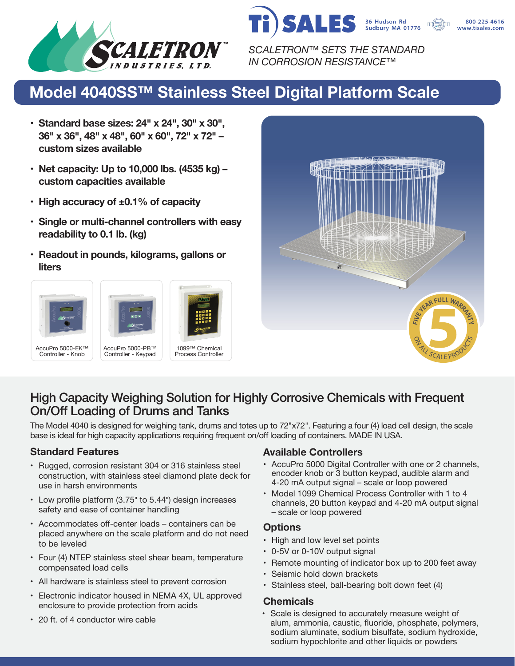



*SCALETRON™ SETS THE STANDARD IN CORROSION RESISTANCE™*

# **Model 4040SS™ Stainless Steel Digital Platform Scale**

- **• Standard base sizes: 24" x 24", 30" x 30", 36" x 36", 48" x 48", 60" x 60", 72" x 72" – custom sizes available**
- **• Net capacity: Up to 10,000 lbs. (4535 kg) – custom capacities available**
- **• High accuracy of ±0.1% of capacity**
- **• Single or multi-channel controllers with easy readability to 0.1 lb. (kg)**
- **• Readout in pounds, kilograms, gallons or liters**









## High Capacity Weighing Solution for Highly Corrosive Chemicals with Frequent On/Off Loading of Drums and Tanks

The Model 4040 is designed for weighing tank, drums and totes up to 72"x72". Featuring a four (4) load cell design, the scale base is ideal for high capacity applications requiring frequent on/off loading of containers. MADE IN USA.

- Rugged, corrosion resistant 304 or 316 stainless steel construction, with stainless steel diamond plate deck for use in harsh environments
- Low profile platform (3.75" to 5.44") design increases safety and ease of container handling
- Accommodates off-center loads containers can be placed anywhere on the scale platform and do not need to be leveled
- Four (4) NTEP stainless steel shear beam, temperature compensated load cells
- All hardware is stainless steel to prevent corrosion
- Electronic indicator housed in NEMA 4X, UL approved enclosure to provide protection from acids
- 20 ft. of 4 conductor wire cable

#### **Standard Features Available Controllers**

- AccuPro 5000 Digital Controller with one or 2 channels, encoder knob or 3 button keypad, audible alarm and 4-20 mA output signal – scale or loop powered
- Model 1099 Chemical Process Controller with 1 to 4 channels, 20 button keypad and 4-20 mA output signal – scale or loop powered

#### **Options**

- High and low level set points
- 0-5V or 0-10V output signal
- Remote mounting of indicator box up to 200 feet away
- Seismic hold down brackets
- Stainless steel, ball-bearing bolt down feet (4)

#### **Chemicals**

• Scale is designed to accurately measure weight of alum, ammonia, caustic, fluoride, phosphate, polymers, sodium aluminate, sodium bisulfate, sodium hydroxide, sodium hypochlorite and other liquids or powders